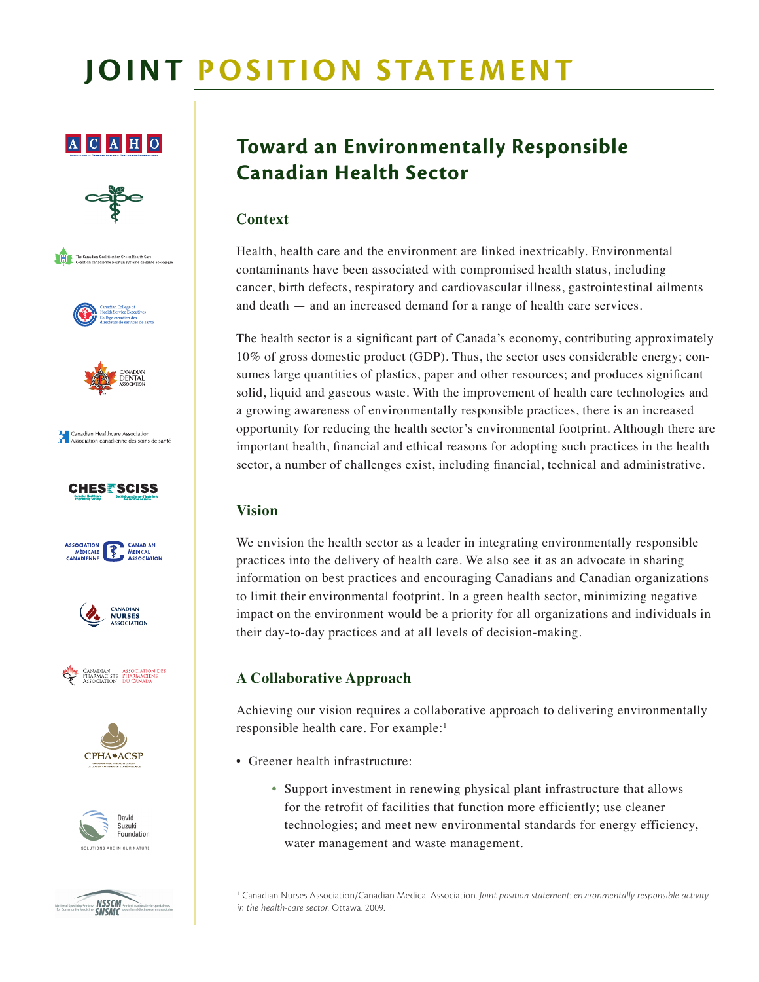# **Joint Position Statement**

### $A C A H O$









Canadian Healthcare Association<br>Association canadienne des soins de santé















## **Toward an Environmentally Responsible Canadian Health Sector**

#### **Context**

Health, health care and the environment are linked inextricably. Environmental contaminants have been associated with compromised health status, including cancer, birth defects, respiratory and cardiovascular illness, gastrointestinal ailments and death — and an increased demand for a range of health care services.

The health sector is a significant part of Canada's economy, contributing approximately 10% of gross domestic product (GDP). Thus, the sector uses considerable energy; consumes large quantities of plastics, paper and other resources; and produces significant solid, liquid and gaseous waste. With the improvement of health care technologies and a growing awareness of environmentally responsible practices, there is an increased opportunity for reducing the health sector's environmental footprint. Although there are important health, financial and ethical reasons for adopting such practices in the health sector, a number of challenges exist, including financial, technical and administrative.

#### **Vision**

We envision the health sector as a leader in integrating environmentally responsible practices into the delivery of health care. We also see it as an advocate in sharing information on best practices and encouraging Canadians and Canadian organizations to limit their environmental footprint. In a green health sector, minimizing negative impact on the environment would be a priority for all organizations and individuals in their day-to-day practices and at all levels of decision-making.

#### **A Collaborative Approach**

Achieving our vision requires a collaborative approach to delivering environmentally responsible health care. For example:1

- Greener health infrastructure:
	- Support investment in renewing physical plant infrastructure that allows for the retrofit of facilities that function more efficiently; use cleaner technologies; and meet new environmental standards for energy efficiency, water management and waste management.

1 Canadian Nurses Association/Canadian Medical Association. *Joint position statement: environmentally responsible activity in the health-care sector.* Ottawa. 2009.